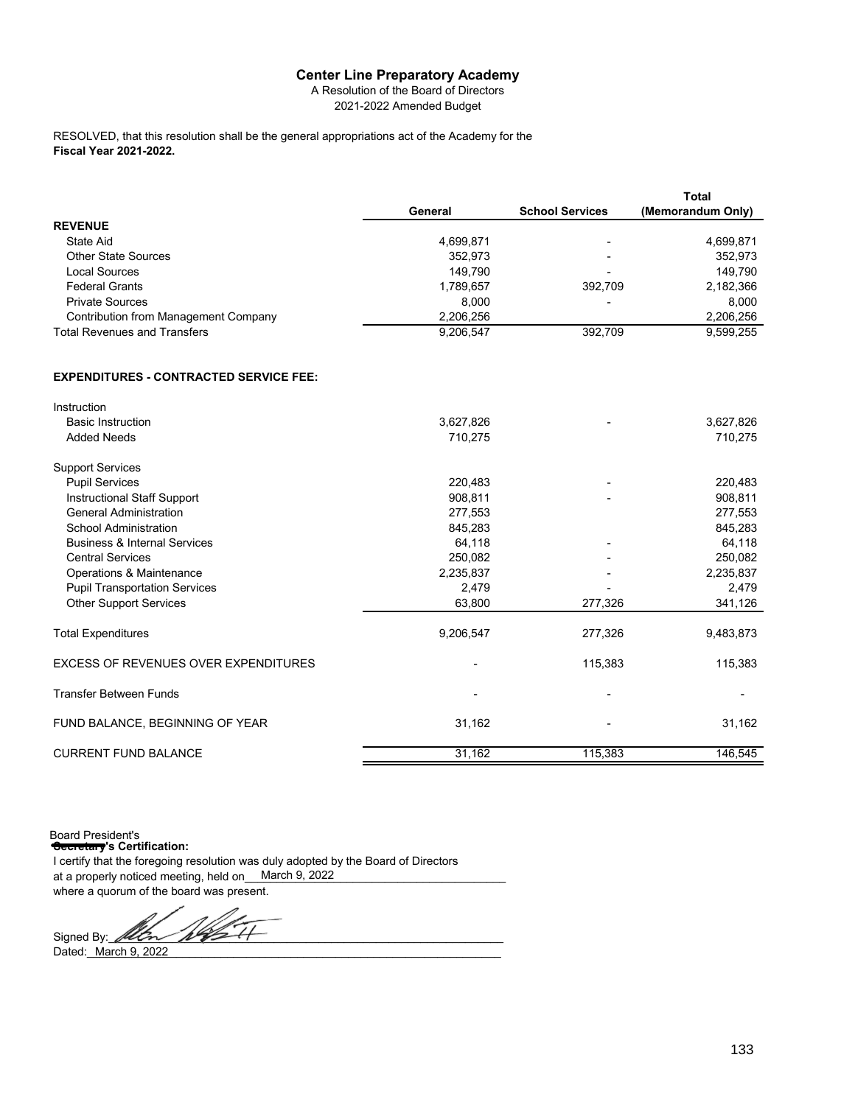A Resolution of the Board of Directors 2021-2022 Amended Budget

**Fiscal Year 2021-2022.** RESOLVED, that this resolution shall be the general appropriations act of the Academy for the

|                                               |           |                        | <b>Total</b>      |
|-----------------------------------------------|-----------|------------------------|-------------------|
|                                               | General   | <b>School Services</b> | (Memorandum Only) |
| <b>REVENUE</b>                                |           |                        |                   |
| State Aid                                     | 4,699,871 |                        | 4,699,871         |
| <b>Other State Sources</b>                    | 352,973   |                        | 352,973           |
| <b>Local Sources</b>                          | 149,790   |                        | 149,790           |
| <b>Federal Grants</b>                         | 1,789,657 | 392,709                | 2,182,366         |
| <b>Private Sources</b>                        | 8,000     |                        | 8,000             |
| <b>Contribution from Management Company</b>   | 2,206,256 |                        | 2,206,256         |
| <b>Total Revenues and Transfers</b>           | 9,206,547 | 392,709                | 9,599,255         |
| <b>EXPENDITURES - CONTRACTED SERVICE FEE:</b> |           |                        |                   |
| Instruction                                   |           |                        |                   |
| <b>Basic Instruction</b>                      | 3,627,826 |                        | 3,627,826         |
| <b>Added Needs</b>                            | 710,275   |                        | 710,275           |
| <b>Support Services</b>                       |           |                        |                   |
| <b>Pupil Services</b>                         | 220,483   |                        | 220,483           |
| Instructional Staff Support                   | 908,811   |                        | 908,811           |
| <b>General Administration</b>                 | 277,553   |                        | 277,553           |
| School Administration                         | 845,283   |                        | 845,283           |
| <b>Business &amp; Internal Services</b>       | 64,118    |                        | 64,118            |
| <b>Central Services</b>                       | 250,082   |                        | 250,082           |
| Operations & Maintenance                      | 2,235,837 |                        | 2,235,837         |
| <b>Pupil Transportation Services</b>          | 2,479     |                        | 2,479             |
| <b>Other Support Services</b>                 | 63,800    | 277,326                | 341,126           |
| <b>Total Expenditures</b>                     | 9,206,547 | 277,326                | 9,483,873         |
| <b>EXCESS OF REVENUES OVER EXPENDITURES</b>   |           | 115,383                | 115,383           |
| <b>Transfer Between Funds</b>                 |           |                        |                   |

FUND BALANCE, BEGINNING OF YEAR 31,162 31,162 - 31,162 CURRENT FUND BALANCE 31,162 115,383 146,545

**Secretary's Certification:** I certify that the foregoing resolution was duly adopted by the Board of Directors at a properly noticed meeting, held on\_\_\_March 9, 2022\_\_\_\_\_\_\_\_\_\_\_\_\_\_\_\_\_\_\_\_\_\_\_\_\_\_ where a quorum of the board was present. Board President's

Signed By:

Dated:\_\_\_\_\_\_\_\_\_\_\_\_\_\_\_\_\_\_\_\_\_\_\_\_\_\_\_\_\_\_\_\_\_\_\_\_\_\_\_\_\_\_\_\_\_\_\_\_\_\_\_\_\_\_\_\_\_\_\_\_\_\_\_\_\_ March 9, 2022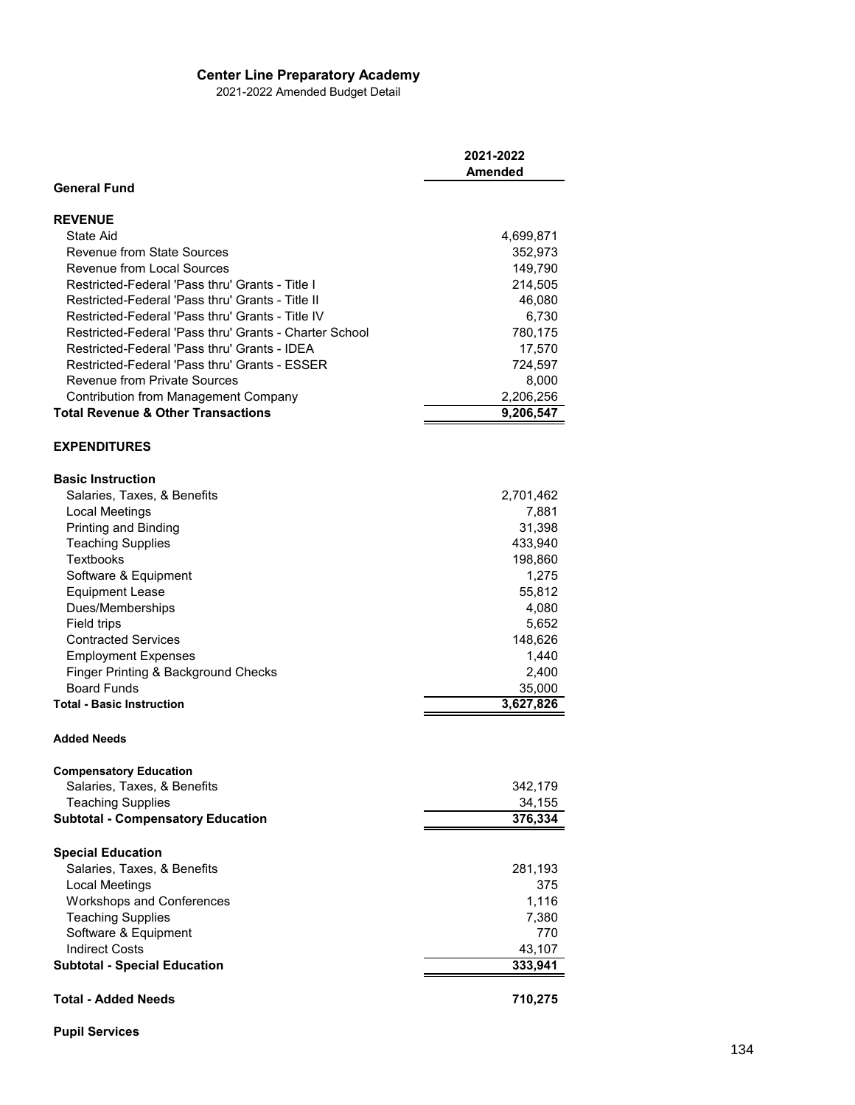2021-2022 Amended Budget Detail

|                                                        | 2021-2022<br>Amended |
|--------------------------------------------------------|----------------------|
| <b>General Fund</b>                                    |                      |
| <b>REVENUE</b>                                         |                      |
| State Aid                                              | 4,699,871            |
| <b>Revenue from State Sources</b>                      | 352,973              |
| <b>Revenue from Local Sources</b>                      | 149,790              |
| Restricted-Federal 'Pass thru' Grants - Title I        | 214,505              |
| Restricted-Federal 'Pass thru' Grants - Title II       | 46,080               |
| Restricted-Federal 'Pass thru' Grants - Title IV       | 6,730                |
| Restricted-Federal 'Pass thru' Grants - Charter School | 780,175              |
| Restricted-Federal 'Pass thru' Grants - IDEA           | 17,570               |
| Restricted-Federal 'Pass thru' Grants - ESSER          | 724,597              |
| <b>Revenue from Private Sources</b>                    | 8,000                |
| <b>Contribution from Management Company</b>            | 2,206,256            |
| <b>Total Revenue &amp; Other Transactions</b>          | 9,206,547            |
|                                                        |                      |
| <b>EXPENDITURES</b>                                    |                      |
| <b>Basic Instruction</b>                               |                      |
| Salaries, Taxes, & Benefits                            | 2,701,462            |
| <b>Local Meetings</b>                                  | 7,881                |
| Printing and Binding                                   | 31,398               |
| <b>Teaching Supplies</b>                               | 433,940              |
| Textbooks                                              | 198,860              |
| Software & Equipment                                   | 1,275                |
| <b>Equipment Lease</b>                                 | 55,812               |
| Dues/Memberships                                       | 4,080                |
| Field trips                                            | 5,652                |
| <b>Contracted Services</b>                             | 148,626              |
| <b>Employment Expenses</b>                             | 1,440                |
| Finger Printing & Background Checks                    | 2,400                |
| <b>Board Funds</b>                                     | 35,000               |
| <b>Total - Basic Instruction</b>                       | 3,627,826            |
| <b>Added Needs</b>                                     |                      |
| <b>Compensatory Education</b>                          |                      |
| Salaries, Taxes, & Benefits                            | 342,179              |
| <b>Teaching Supplies</b>                               | 34,155               |
| <b>Subtotal - Compensatory Education</b>               | 376,334              |
| <b>Special Education</b>                               |                      |
| Salaries, Taxes, & Benefits                            | 281,193              |
| Local Meetings                                         | 375                  |
| Workshops and Conferences                              | 1,116                |
| <b>Teaching Supplies</b>                               | 7,380                |
| Software & Equipment                                   | 770                  |
| <b>Indirect Costs</b>                                  | 43,107               |
| <b>Subtotal - Special Education</b>                    | 333,941              |
|                                                        |                      |
| <b>Total - Added Needs</b>                             | 710,275              |

**Pupil Services**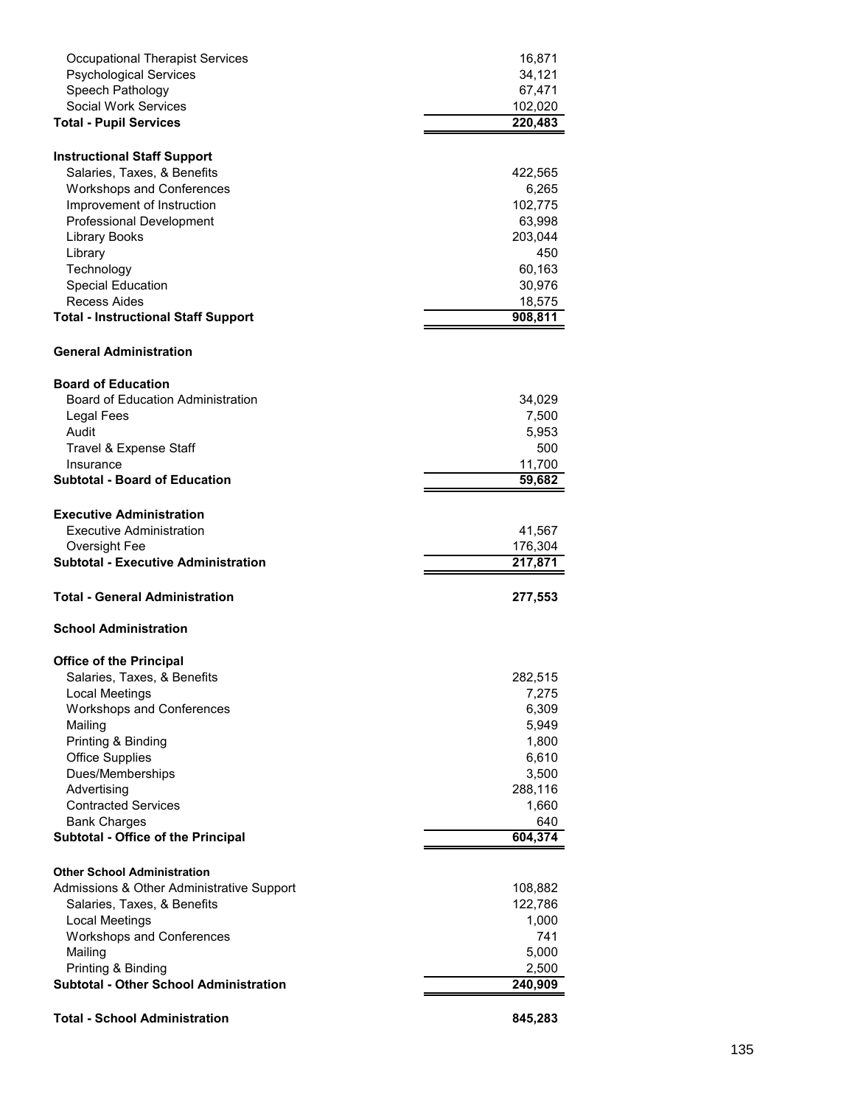| <b>Occupational Therapist Services</b>                           | 16,871         |
|------------------------------------------------------------------|----------------|
| <b>Psychological Services</b>                                    | 34,121         |
| Speech Pathology                                                 | 67,471         |
| Social Work Services                                             | 102,020        |
| <b>Total - Pupil Services</b>                                    | 220,483        |
| <b>Instructional Staff Support</b>                               |                |
| Salaries, Taxes, & Benefits                                      | 422,565        |
| <b>Workshops and Conferences</b>                                 | 6,265          |
| Improvement of Instruction                                       | 102,775        |
| <b>Professional Development</b>                                  | 63,998         |
| <b>Library Books</b>                                             | 203,044        |
| Library                                                          | 450            |
| Technology                                                       | 60,163         |
| <b>Special Education</b>                                         | 30,976         |
| Recess Aides                                                     | 18,575         |
| <b>Total - Instructional Staff Support</b>                       | 908,811        |
|                                                                  |                |
| <b>General Administration</b>                                    |                |
| <b>Board of Education</b>                                        |                |
| <b>Board of Education Administration</b>                         | 34,029         |
| Legal Fees                                                       | 7,500          |
| Audit                                                            | 5,953          |
| Travel & Expense Staff                                           | 500            |
| Insurance                                                        | 11,700         |
| <b>Subtotal - Board of Education</b>                             | 59,682         |
|                                                                  |                |
| <b>Executive Administration</b>                                  |                |
| Executive Administration                                         | 41,567         |
| Oversight Fee                                                    | 176,304        |
| <b>Subtotal - Executive Administration</b>                       | 217,871        |
| Total - General Administration                                   | 277,553        |
| <b>School Administration</b>                                     |                |
| <b>Office of the Principal</b>                                   |                |
| Salaries, Taxes, & Benefits                                      | 282,515        |
| Local Meetings                                                   | 7,275          |
| <b>Workshops and Conferences</b>                                 | 6,309          |
| Mailing                                                          | 5,949          |
| Printing & Binding                                               | 1,800          |
| <b>Office Supplies</b>                                           | 6,610          |
| Dues/Memberships                                                 | 3,500          |
| Advertising                                                      |                |
| <b>Contracted Services</b>                                       | 288,116        |
|                                                                  | 1,660          |
| <b>Bank Charges</b><br><b>Subtotal - Office of the Principal</b> | 640<br>604,374 |
|                                                                  |                |
| <b>Other School Administration</b>                               |                |
| Admissions & Other Administrative Support                        | 108,882        |
| Salaries, Taxes, & Benefits                                      | 122,786        |
| <b>Local Meetings</b>                                            |                |
|                                                                  | 1,000          |
| <b>Workshops and Conferences</b>                                 | 741            |
| Mailing                                                          | 5,000          |
| Printing & Binding                                               | 2,500          |
| <b>Subtotal - Other School Administration</b>                    | 240,909        |
| <b>Total - School Administration</b>                             | 845,283        |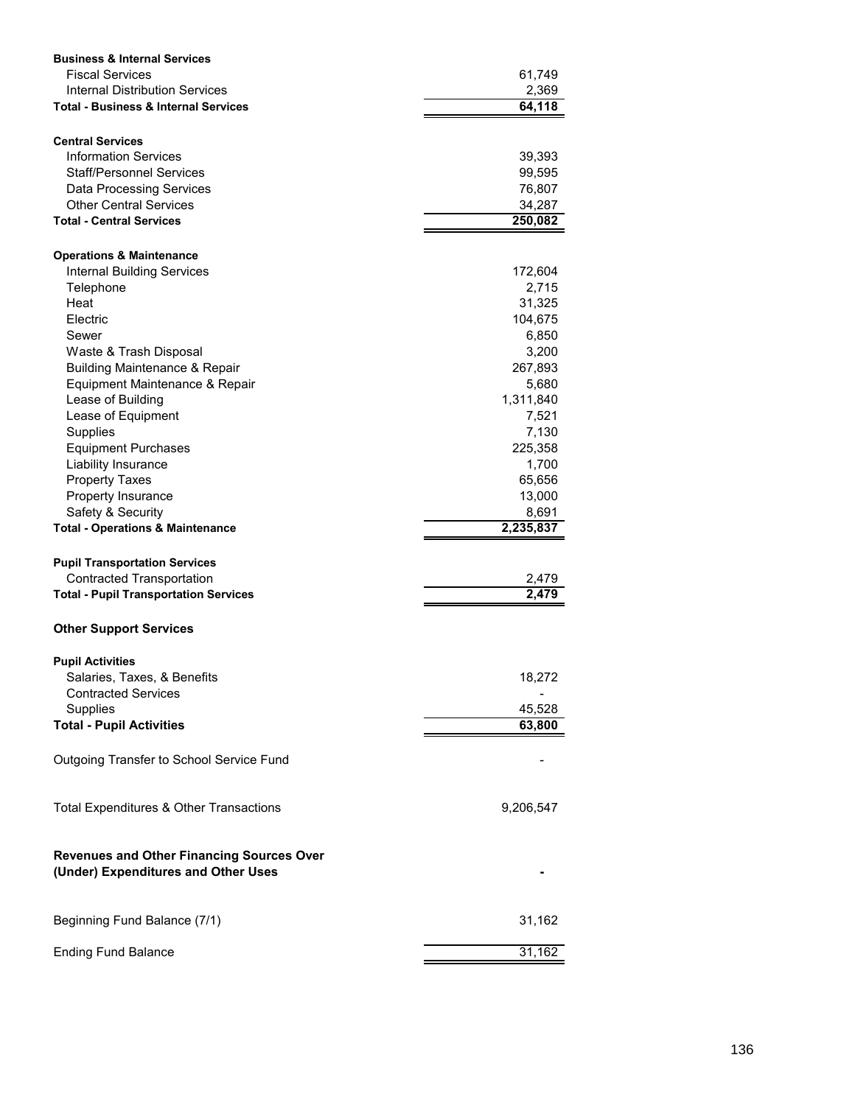| <b>Business &amp; Internal Services</b>                                                 |           |
|-----------------------------------------------------------------------------------------|-----------|
| <b>Fiscal Services</b>                                                                  | 61,749    |
| Internal Distribution Services                                                          | 2,369     |
| <b>Total - Business &amp; Internal Services</b>                                         | 64,118    |
|                                                                                         |           |
| <b>Central Services</b>                                                                 |           |
| <b>Information Services</b>                                                             | 39,393    |
| <b>Staff/Personnel Services</b>                                                         | 99,595    |
| <b>Data Processing Services</b>                                                         | 76,807    |
| <b>Other Central Services</b>                                                           | 34,287    |
| <b>Total - Central Services</b>                                                         | 250,082   |
|                                                                                         |           |
| <b>Operations &amp; Maintenance</b>                                                     |           |
| <b>Internal Building Services</b>                                                       | 172,604   |
| Telephone                                                                               | 2,715     |
| Heat                                                                                    | 31,325    |
| Electric                                                                                | 104,675   |
| Sewer                                                                                   | 6,850     |
| Waste & Trash Disposal                                                                  | 3,200     |
| <b>Building Maintenance &amp; Repair</b>                                                | 267,893   |
| Equipment Maintenance & Repair                                                          | 5,680     |
| Lease of Building                                                                       | 1,311,840 |
| Lease of Equipment                                                                      | 7,521     |
| Supplies                                                                                | 7,130     |
| <b>Equipment Purchases</b>                                                              | 225,358   |
| Liability Insurance                                                                     | 1,700     |
| <b>Property Taxes</b>                                                                   | 65,656    |
| Property Insurance                                                                      | 13,000    |
| Safety & Security                                                                       | 8,691     |
| <b>Total - Operations &amp; Maintenance</b>                                             | 2,235,837 |
|                                                                                         |           |
| <b>Pupil Transportation Services</b>                                                    |           |
| <b>Contracted Transportation</b>                                                        | 2,479     |
| <b>Total - Pupil Transportation Services</b>                                            | 2,479     |
| <b>Other Support Services</b>                                                           |           |
| <b>Pupil Activities</b>                                                                 |           |
| Salaries, Taxes, & Benefits                                                             | 18,272    |
| <b>Contracted Services</b>                                                              |           |
| Supplies                                                                                | 45,528    |
| <b>Total - Pupil Activities</b>                                                         | 63,800    |
|                                                                                         |           |
| Outgoing Transfer to School Service Fund                                                |           |
| Total Expenditures & Other Transactions                                                 | 9,206,547 |
| <b>Revenues and Other Financing Sources Over</b><br>(Under) Expenditures and Other Uses |           |
| Beginning Fund Balance (7/1)                                                            | 31,162    |
| <b>Ending Fund Balance</b>                                                              | 31,162    |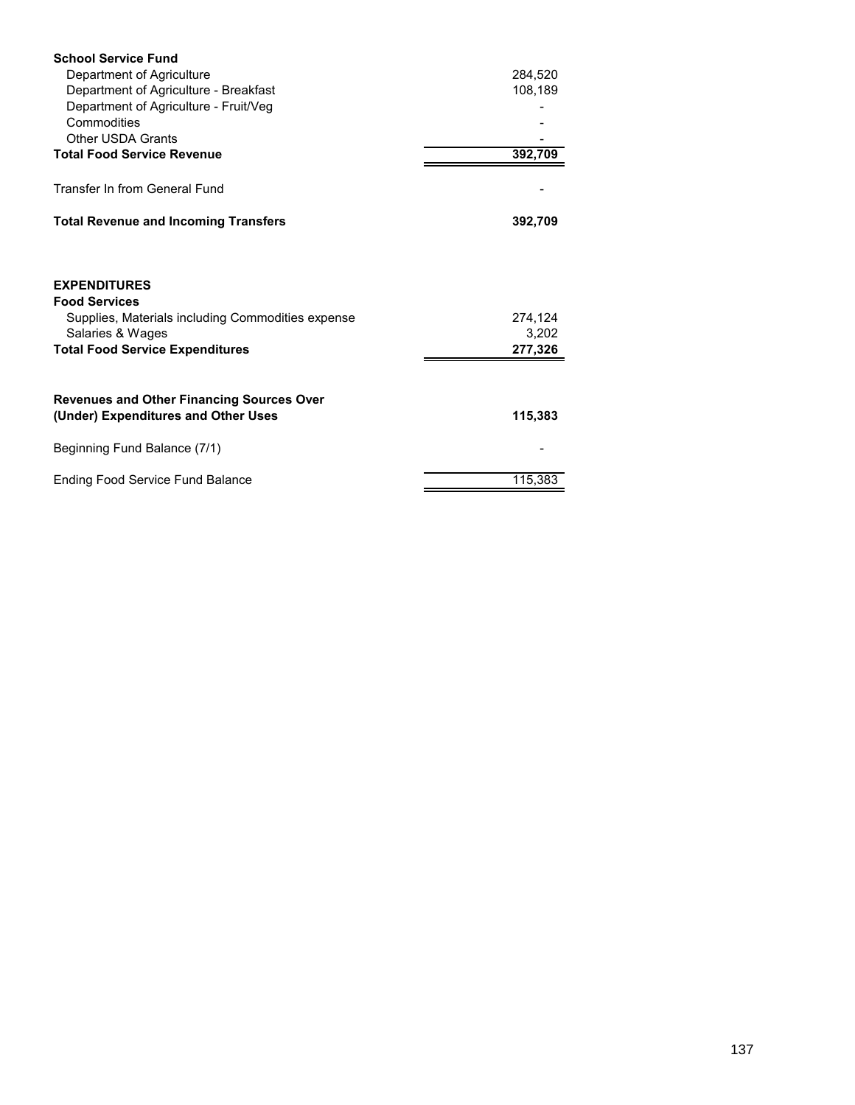| <b>School Service Fund</b>                                                                                                                                     |                             |
|----------------------------------------------------------------------------------------------------------------------------------------------------------------|-----------------------------|
| Department of Agriculture                                                                                                                                      | 284,520                     |
| Department of Agriculture - Breakfast                                                                                                                          | 108,189                     |
| Department of Agriculture - Fruit/Veg                                                                                                                          |                             |
| Commodities                                                                                                                                                    |                             |
| <b>Other USDA Grants</b>                                                                                                                                       |                             |
| <b>Total Food Service Revenue</b>                                                                                                                              | 392,709                     |
| Transfer In from General Fund                                                                                                                                  |                             |
| <b>Total Revenue and Incoming Transfers</b>                                                                                                                    | 392,709                     |
| <b>EXPENDITURES</b><br><b>Food Services</b><br>Supplies, Materials including Commodities expense<br>Salaries & Wages<br><b>Total Food Service Expenditures</b> | 274,124<br>3,202<br>277,326 |
|                                                                                                                                                                |                             |
| <b>Revenues and Other Financing Sources Over</b><br>(Under) Expenditures and Other Uses                                                                        | 115,383                     |
| Beginning Fund Balance (7/1)                                                                                                                                   |                             |
| <b>Ending Food Service Fund Balance</b>                                                                                                                        | 115,383                     |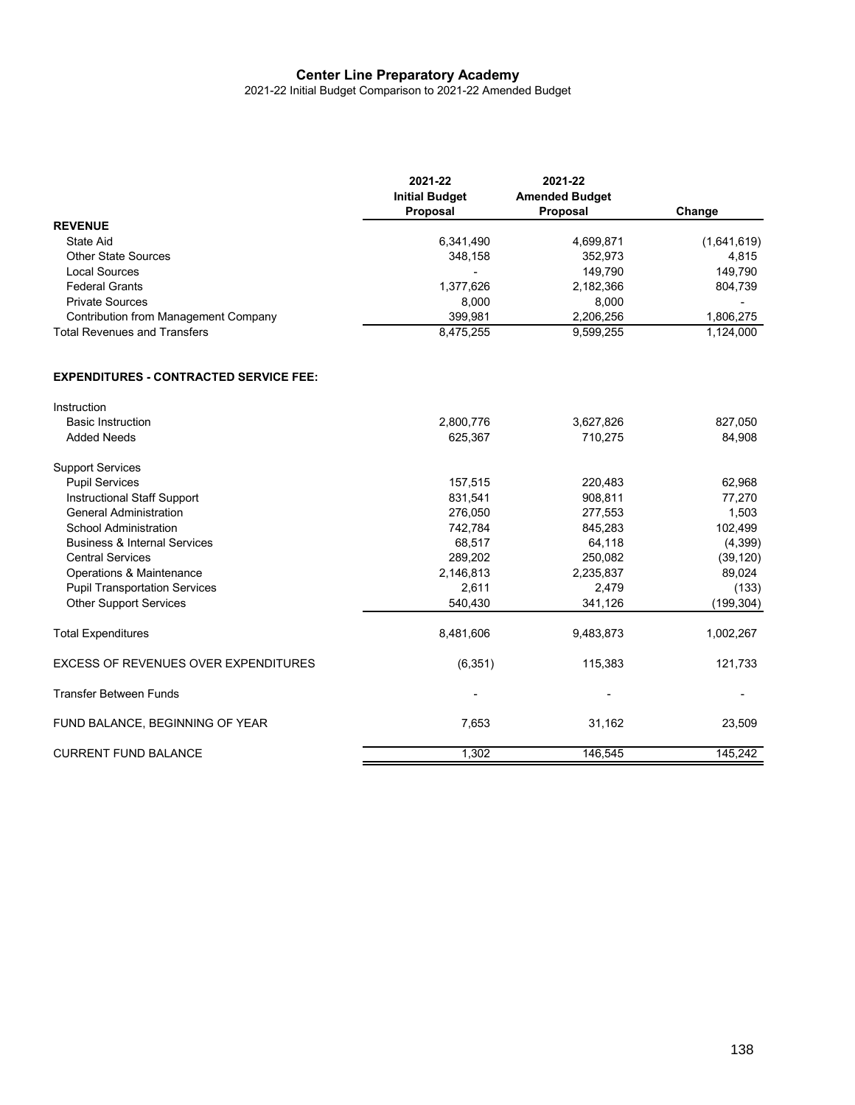2021-22 Initial Budget Comparison to 2021-22 Amended Budget

|                                               | 2021-22<br><b>Initial Budget</b><br>Proposal | 2021-22<br><b>Amended Budget</b><br>Proposal | Change      |
|-----------------------------------------------|----------------------------------------------|----------------------------------------------|-------------|
| <b>REVENUE</b>                                |                                              |                                              |             |
| State Aid                                     | 6,341,490                                    | 4,699,871                                    | (1,641,619) |
| <b>Other State Sources</b>                    | 348,158                                      | 352,973                                      | 4,815       |
| <b>Local Sources</b>                          |                                              | 149,790                                      | 149,790     |
| <b>Federal Grants</b>                         | 1,377,626                                    | 2,182,366                                    | 804,739     |
| <b>Private Sources</b>                        | 8,000                                        | 8,000                                        |             |
| <b>Contribution from Management Company</b>   | 399,981                                      | 2,206,256                                    | 1,806,275   |
| <b>Total Revenues and Transfers</b>           | 8,475,255                                    | 9,599,255                                    | 1,124,000   |
| <b>EXPENDITURES - CONTRACTED SERVICE FEE:</b> |                                              |                                              |             |
| Instruction                                   |                                              |                                              |             |
| <b>Basic Instruction</b>                      | 2,800,776                                    | 3,627,826                                    | 827,050     |
| <b>Added Needs</b>                            | 625,367                                      | 710,275                                      | 84,908      |
| <b>Support Services</b>                       |                                              |                                              |             |
| <b>Pupil Services</b>                         | 157,515                                      | 220,483                                      | 62,968      |
| Instructional Staff Support                   | 831,541                                      | 908,811                                      | 77,270      |
| <b>General Administration</b>                 | 276,050                                      | 277,553                                      | 1,503       |
| School Administration                         | 742,784                                      | 845,283                                      | 102,499     |
| <b>Business &amp; Internal Services</b>       | 68,517                                       | 64,118                                       | (4, 399)    |
| <b>Central Services</b>                       | 289,202                                      | 250,082                                      | (39, 120)   |
| Operations & Maintenance                      | 2,146,813                                    | 2,235,837                                    | 89,024      |
| <b>Pupil Transportation Services</b>          | 2,611                                        | 2,479                                        | (133)       |
| <b>Other Support Services</b>                 | 540,430                                      | 341,126                                      | (199, 304)  |
| <b>Total Expenditures</b>                     | 8,481,606                                    | 9,483,873                                    | 1,002,267   |
| <b>EXCESS OF REVENUES OVER EXPENDITURES</b>   | (6, 351)                                     | 115,383                                      | 121,733     |
| <b>Transfer Between Funds</b>                 |                                              |                                              |             |
| FUND BALANCE, BEGINNING OF YEAR               | 7,653                                        | 31,162                                       | 23,509      |
| <b>CURRENT FUND BALANCE</b>                   | 1,302                                        | 146,545                                      | 145,242     |